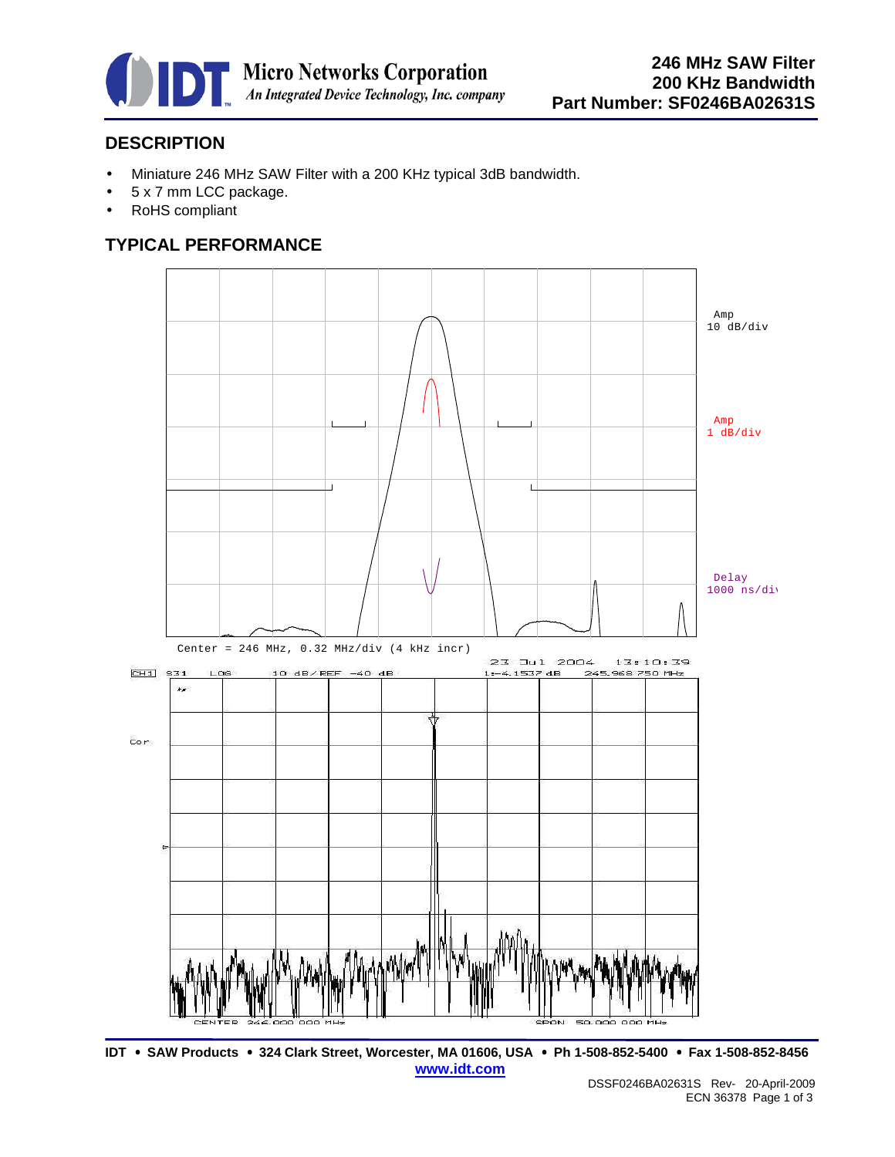

## **DESCRIPTION**

- Miniature 246 MHz SAW Filter with a 200 KHz typical 3dB bandwidth.
- 5 x 7 mm LCC package.
- RoHS compliant

#### **TYPICAL PERFORMANCE**



**IDT** • **SAW Products** • **324 Clark Street, Worcester, MA 01606, USA** • **Ph 1-508-852-5400** • **Fax 1-508-852-8456 www.idt.com**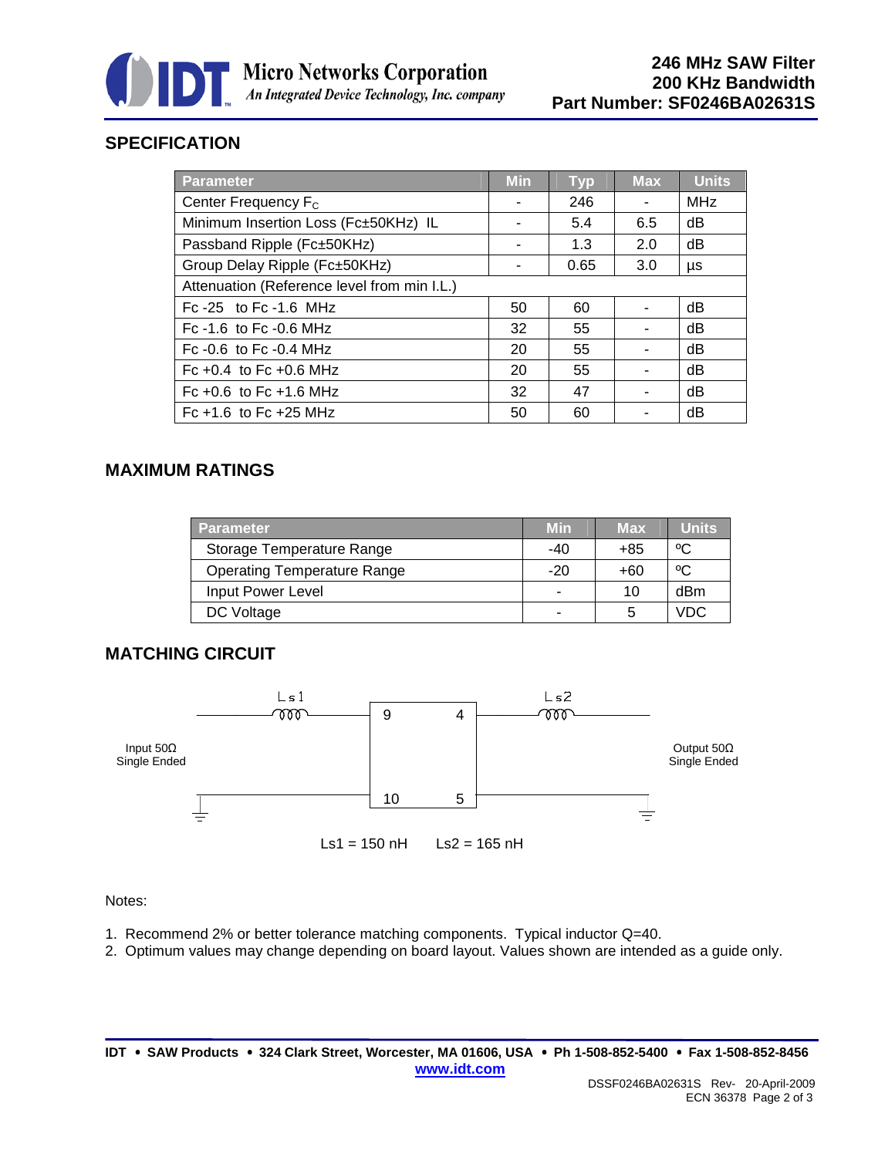

# **SPECIFICATION**

| Parameter                                   | <b>Min</b> | <b>Typ</b> | <b>Max</b> | <b>Units</b> |
|---------------------------------------------|------------|------------|------------|--------------|
| Center Frequency F <sub>c</sub>             |            | 246        |            | <b>MHz</b>   |
| Minimum Insertion Loss (Fc±50KHz) IL        |            | 5.4        | 6.5        | dB           |
| Passband Ripple (Fc±50KHz)                  |            | 1.3        | 2.0        | dB           |
| Group Delay Ripple (Fc±50KHz)               |            | 0.65       | 3.0        | μs           |
| Attenuation (Reference level from min I.L.) |            |            |            |              |
| Fc $-25$ to Fc $-1.6$ MHz                   | 50         | 60         |            | dB           |
| Fc $-1.6$ to Fc $-0.6$ MHz                  | 32         | 55         |            | dB           |
| Fc $-0.6$ to Fc $-0.4$ MHz                  | 20         | 55         |            | dB           |
| Fc +0.4 to Fc +0.6 MHz                      | 20         | 55         |            | dB           |
| Fc +0.6 to Fc +1.6 MHz                      | 32         | 47         |            | dB           |
| Fc $+1.6$ to Fc $+25$ MHz                   | 50         | 60         |            | dB           |

## **MAXIMUM RATINGS**

| <b>Parameter</b>                   | <b>Min</b>     | <b>Max</b> | <b>Units</b> |
|------------------------------------|----------------|------------|--------------|
| Storage Temperature Range          | -40            | +85        | °C           |
| <b>Operating Temperature Range</b> | $-20$          | +60        | ٥C           |
| Input Power Level                  | $\blacksquare$ | 10         | dBm          |
| DC Voltage                         |                | 5          | VDC.         |

#### **MATCHING CIRCUIT**



#### Notes:

- 1. Recommend 2% or better tolerance matching components. Typical inductor Q=40.
- 2. Optimum values may change depending on board layout. Values shown are intended as a guide only.